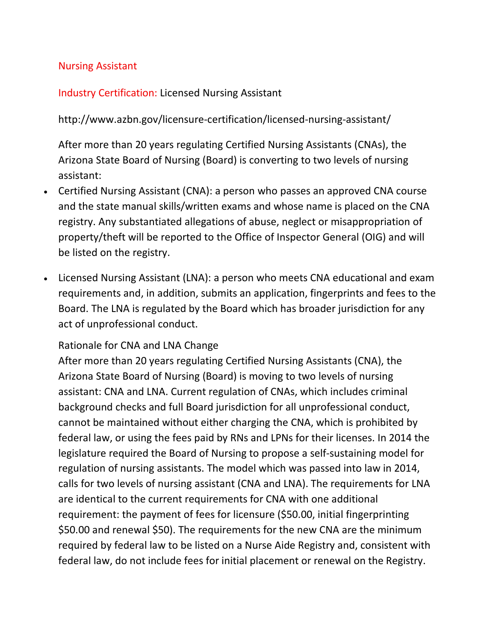#### Nursing Assistant

### Industry Certification: Licensed Nursing Assistant

## <http://www.azbn.gov/licensure-certification/licensed-nursing-assistant/>

After more than 20 years regulating Certified Nursing Assistants (CNAs), the Arizona State Board of Nursing (Board) is converting to two levels of nursing assistant:

- Certified Nursing Assistant (CNA): a person who passes an approved CNA course and the state manual skills/written exams and whose name is placed on the CNA registry. Any substantiated allegations of abuse, neglect or misappropriation of property/theft will be reported to the Office of Inspector General (OIG) and will be listed on the registry.
- Licensed Nursing Assistant (LNA): a person who meets CNA educational and exam requirements and, in addition, submits an application, fingerprints and fees to the Board. The LNA is regulated by the Board which has broader jurisdiction for any act of unprofessional conduct.

#### Rationale for CNA and LNA Change

After more than 20 years regulating Certified Nursing Assistants (CNA), the Arizona State Board of Nursing (Board) is moving to two levels of nursing assistant: CNA and LNA. Current regulation of CNAs, which includes criminal background checks and full Board jurisdiction for all unprofessional conduct, cannot be maintained without either charging the CNA, which is prohibited by federal law, or using the fees paid by RNs and LPNs for their licenses. In 2014 the legislature required the Board of Nursing to propose a self-sustaining model for regulation of nursing assistants. The model which was passed into law in 2014, calls for two levels of nursing assistant (CNA and LNA). The requirements for LNA are identical to the current requirements for CNA with one additional requirement: the payment of fees for licensure (\$50.00, initial fingerprinting \$50.00 and renewal \$50). The requirements for the new CNA are the minimum required by federal law to be listed on a Nurse Aide Registry and, consistent with federal law, do not include fees for initial placement or renewal on the Registry.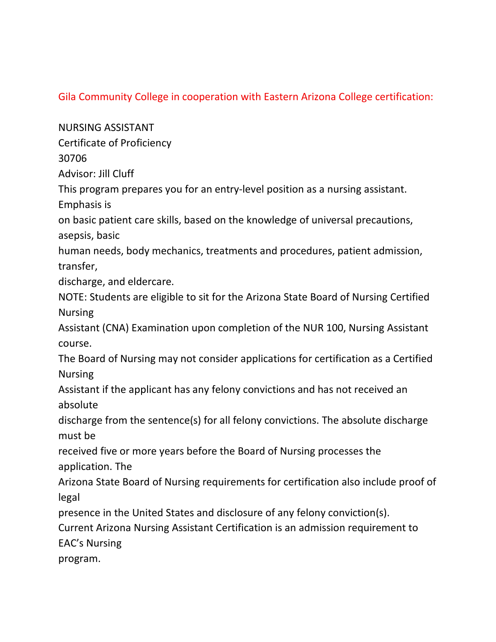# Gila Community College in cooperation with Eastern Arizona College certification:

NURSING ASSISTANT

Certificate of Proficiency

30706

Advisor: Jill Cluff

This program prepares you for an entry-level position as a nursing assistant.

Emphasis is

on basic patient care skills, based on the knowledge of universal precautions, asepsis, basic

human needs, body mechanics, treatments and procedures, patient admission, transfer,

discharge, and eldercare.

NOTE: Students are eligible to sit for the Arizona State Board of Nursing Certified Nursing

Assistant (CNA) Examination upon completion of the NUR 100, Nursing Assistant course.

The Board of Nursing may not consider applications for certification as a Certified Nursing

Assistant if the applicant has any felony convictions and has not received an absolute

discharge from the sentence(s) for all felony convictions. The absolute discharge must be

received five or more years before the Board of Nursing processes the application. The

Arizona State Board of Nursing requirements for certification also include proof of legal

presence in the United States and disclosure of any felony conviction(s).

Current Arizona Nursing Assistant Certification is an admission requirement to EAC's Nursing

program.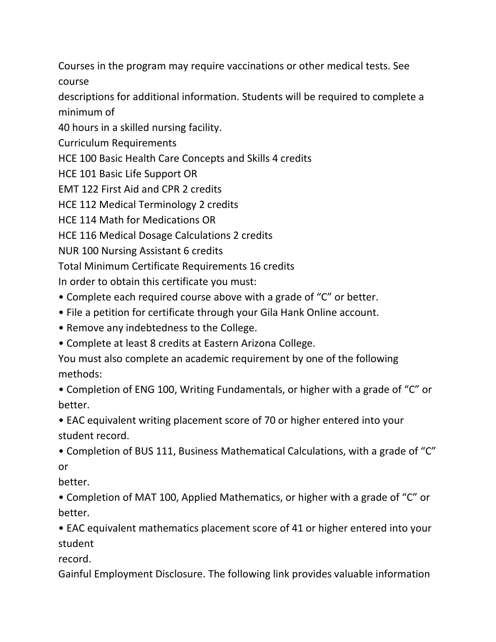Courses in the program may require vaccinations or other medical tests. See course

descriptions for additional information. Students will be required to complete a minimum of

40 hours in a skilled nursing facility.

Curriculum Requirements

HCE 100 Basic Health Care Concepts and Skills 4 credits

HCE 101 Basic Life Support OR

EMT 122 First Aid and CPR 2 credits

HCE 112 Medical Terminology 2 credits

HCE 114 Math for Medications OR

HCE 116 Medical Dosage Calculations 2 credits

NUR 100 Nursing Assistant 6 credits

Total Minimum Certificate Requirements 16 credits

In order to obtain this certificate you must:

• Complete each required course above with a grade of "C" or better.

• File a petition for certificate through your Gila Hank Online account.

• Remove any indebtedness to the College.

• Complete at least 8 credits at Eastern Arizona College.

You must also complete an academic requirement by one of the following methods:

• Completion of ENG 100, Writing Fundamentals, or higher with a grade of "C" or better.

• EAC equivalent writing placement score of 70 or higher entered into your student record.

• Completion of BUS 111, Business Mathematical Calculations, with a grade of "C" or

better.

• Completion of MAT 100, Applied Mathematics, or higher with a grade of "C" or better.

• EAC equivalent mathematics placement score of 41 or higher entered into your student

record.

Gainful Employment Disclosure. The following link provides valuable information